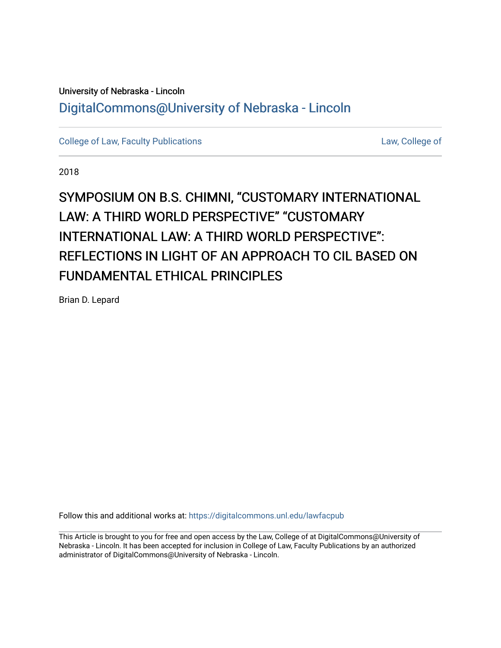## University of Nebraska - Lincoln [DigitalCommons@University of Nebraska - Lincoln](https://digitalcommons.unl.edu/)

[College of Law, Faculty Publications](https://digitalcommons.unl.edu/lawfacpub) [Law, College of](https://digitalcommons.unl.edu/law) Law, College of

2018

# SYMPOSIUM ON B.S. CHIMNI, "CUSTOMARY INTERNATIONAL LAW: A THIRD WORLD PERSPECTIVE" "CUSTOMARY INTERNATIONAL LAW: A THIRD WORLD PERSPECTIVE": REFLECTIONS IN LIGHT OF AN APPROACH TO CIL BASED ON FUNDAMENTAL ETHICAL PRINCIPLES

Brian D. Lepard

Follow this and additional works at: [https://digitalcommons.unl.edu/lawfacpub](https://digitalcommons.unl.edu/lawfacpub?utm_source=digitalcommons.unl.edu%2Flawfacpub%2F217&utm_medium=PDF&utm_campaign=PDFCoverPages) 

This Article is brought to you for free and open access by the Law, College of at DigitalCommons@University of Nebraska - Lincoln. It has been accepted for inclusion in College of Law, Faculty Publications by an authorized administrator of DigitalCommons@University of Nebraska - Lincoln.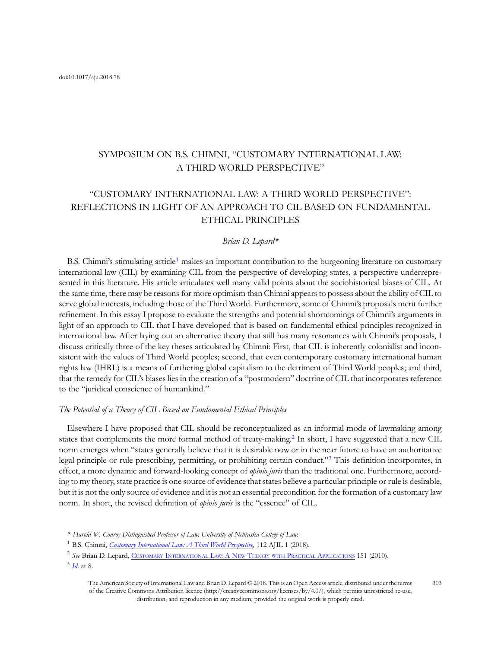### SYMPOSIUM ON B.S. CHIMNI, "CUSTOMARY INTERNATIONAL LAW: A THIRD WORLD PERSPECTIVE"

## "CUSTOMARY INTERNATIONAL LAW: A THIRD WORLD PERSPECTIVE": REFLECTIONS IN LIGHT OF AN APPROACH TO CIL BASED ON FUNDAMENTAL ETHICAL PRINCIPLES

#### Brian D. Lepard\*

B.S. Chimni's stimulating article<sup>1</sup> makes an important contribution to the burgeoning literature on customary international law (CIL) by examining CIL from the perspective of developing states, a perspective underrepresented in this literature. His article articulates well many valid points about the sociohistorical biases of CIL. At the same time, there may be reasons for more optimism than Chimni appears to possess about the ability of CIL to serve global interests, including those of the Third World. Furthermore, some of Chimni's proposals merit further refinement. In this essay I propose to evaluate the strengths and potential shortcomings of Chimni's arguments in light of an approach to CIL that I have developed that is based on fundamental ethical principles recognized in international law. After laying out an alternative theory that still has many resonances with Chimni's proposals, I discuss critically three of the key theses articulated by Chimni: First, that CIL is inherently colonialist and inconsistent with the values of Third World peoples; second, that even contemporary customary international human rights law (IHRL) is a means of furthering global capitalism to the detriment of Third World peoples; and third, that the remedy for CIL's biases lies in the creation of a "postmodern" doctrine of CIL that incorporates reference to the "juridical conscience of humankind."

#### The Potential of a Theory of CIL Based on Fundamental Ethical Principles

Elsewhere I have proposed that CIL should be reconceptualized as an informal mode of lawmaking among states that complements the more formal method of treaty-making.<sup>2</sup> In short, I have suggested that a new CIL norm emerges when "states generally believe that it is desirable now or in the near future to have an authoritative legal principle or rule prescribing, permitting, or prohibiting certain conduct."<sup>3</sup> This definition incorporates, in effect, a more dynamic and forward-looking concept of *opinio juris* than the traditional one. Furthermore, according to my theory, state practice is one source of evidence that states believe a particular principle or rule is desirable, but it is not the only source of evidence and it is not an essential precondition for the formation of a customary law norm. In short, the revised definition of *opinio juris* is the "essence" of CIL.

303

<sup>\*</sup> Harold W. Conroy Distinguished Professor of Law, University of Nebraska College of Law.

<sup>&</sup>lt;sup>1</sup> B.S. Chimni, *[Customary International Law: A Third World Perspective](https://doi.org/10.1017/ajil.2018.12)*, 112 AJIL 1 (2018).

<sup>&</sup>lt;sup>2</sup> See Brian D. Lepard, CUSTOMARY [INTERNATIONAL](https://www.cambridge.org/core/books/customary-international-law/89E809ADE4C98D66CAEED882F6BF98C9) LAW: A NEW THEORY WITH PRACTICAL APPLICATIONS 151 (2010).

 $3$  *[Id](https://www.cambridge.org/core/books/customary-international-law/89E809ADE4C98D66CAEED882F6BF98C9).* at 8.

The American Society of International Law and Brian D. Lepard © 2018. This is an Open Access article, distributed under the terms of the Creative Commons Attribution licence (http://creativecommons.org/licenses/by/4.0/), which permits unrestricted re-use, distribution, and reproduction in any medium, provided the original work is properly cited.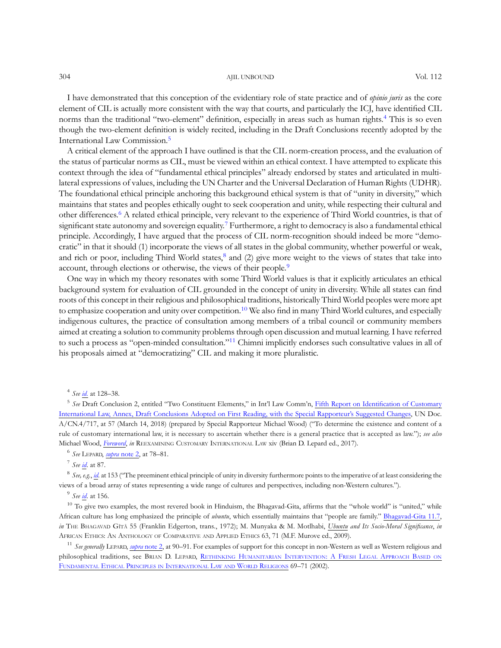#### 304 AJIL UNBOUND Vol. 112

I have demonstrated that this conception of the evidentiary role of state practice and of opinio juris as the core element of CIL is actually more consistent with the way that courts, and particularly the ICJ, have identified CIL norms than the traditional "two-element" definition, especially in areas such as human rights.4 This is so even though the two-element definition is widely recited, including in the Draft Conclusions recently adopted by the International Law Commission.<sup>5</sup>

A critical element of the approach I have outlined is that the CIL norm-creation process, and the evaluation of the status of particular norms as CIL, must be viewed within an ethical context. I have attempted to explicate this context through the idea of "fundamental ethical principles" already endorsed by states and articulated in multilateral expressions of values, including the UN Charter and the Universal Declaration of Human Rights (UDHR). The foundational ethical principle anchoring this background ethical system is that of "unity in diversity," which maintains that states and peoples ethically ought to seek cooperation and unity, while respecting their cultural and other differences.<sup>6</sup> A related ethical principle, very relevant to the experience of Third World countries, is that of significant state autonomy and sovereign equality.<sup>7</sup> Furthermore, a right to democracy is also a fundamental ethical principle. Accordingly, I have argued that the process of CIL norm-recognition should indeed be more "democratic" in that it should (1) incorporate the views of all states in the global community, whether powerful or weak, and rich or poor, including Third World states, $8$  and (2) give more weight to the views of states that take into account, through elections or otherwise, the views of their people.<sup>9</sup>

One way in which my theory resonates with some Third World values is that it explicitly articulates an ethical background system for evaluation of CIL grounded in the concept of unity in diversity. While all states can find roots of this concept in their religious and philosophical traditions, historically Third World peoples were more apt to emphasize cooperation and unity over competition.<sup>10</sup> We also find in many Third World cultures, and especially indigenous cultures, the practice of consultation among members of a tribal council or community members aimed at creating a solution to community problems through open discussion and mutual learning. I have referred to such a process as "open-minded consultation."<sup>11</sup> Chimni implicitly endorses such consultative values in all of his proposals aimed at "democratizing" CIL and making it more pluralistic.

 $5$  See Draft Conclusion 2, entitled "Two Constituent Elements," in Int'l Law Comm'n, [Fifth Report on Identi](http://legal.un.org/docs/?symbol=A/CN.4/717)fication of Customary [International Law, Annex, Draft Conclusions Adopted on First Reading, with the Special Rapporteur](http://legal.un.org/docs/?symbol=A/CN.4/717)'s Suggested Changes, UN Doc. A/CN.4/717, at 57 (March 14, 2018) (prepared by Special Rapporteur Michael Wood) ("To determine the existence and content of a rule of customary international law, it is necessary to ascertain whether there is a general practice that is accepted as law."); see also Michael Wood, [Foreword](https://www.cambridge.org/core/books/reexamining-customary-international-law/06C01D83F714B5371984F32C68786708), in REEXAMINING CUSTOMARY INTERNATIONAL LAW xiv (Brian D. Lepard ed., 2017).

 $6$  See LEPARD, [supra](https://www.cambridge.org/core/books/customary-international-law/89E809ADE4C98D66CAEED882F6BF98C9) [note 2,](https://www.cambridge.org/core/books/customary-international-law/89E809ADE4C98D66CAEED882F6BF98C9) at 78-81.

 $7$  See [id](https://www.cambridge.org/core/books/customary-international-law/89E809ADE4C98D66CAEED882F6BF98C9). at 87.

 $8$  See, e.g., [id](https://www.cambridge.org/core/books/customary-international-law/89E809ADE4C98D66CAEED882F6BF98C9). at 153 ("The preeminent ethical principle of unity in diversity furthermore points to the imperative of at least considering the views of a broad array of states representing a wide range of cultures and perspectives, including non-Western cultures.").

 $9$  See [id](https://www.cambridge.org/core/books/customary-international-law/89E809ADE4C98D66CAEED882F6BF98C9). at 156.

<sup>10</sup> To give two examples, the most revered book in Hinduism, the Bhagavad-Gita, affirms that the "whole world" is "united," while African culture has long emphasized the principle of *ubuntu*, which essentially maintains that "people are family." [Bhagavad-Gita 11.7](http://www.gutenberg.org/ebooks/2388), in THE BHAGAVAD GĪTĀ 55 (Franklin Edgerton, trans., 1972); M. Munyaka & M. Motlhabi, Ubuntu and Its Socio-Moral Significance, in AFRICAN ETHICS: AN ANTHOLOGY OF COMPARATIVE AND APPLIED ETHICS 63, 71 (M.F. Murove ed., 2009).

<sup>11</sup> See generally LEPARD, [supra](https://www.cambridge.org/core/books/customary-international-law/89E809ADE4C98D66CAEED882F6BF98C9) [note 2](https://www.cambridge.org/core/books/customary-international-law/89E809ADE4C98D66CAEED882F6BF98C9), at 90–91. For examples of support for this concept in non-Western as well as Western religious and philosophical traditions, see BRIAN D. LEPARD, RETHINKING HUMANITARIAN INTERVENTION: A FRESH LEGAL APPROACH BASED ON FUNDAMENTAL ETHICAL PRINCIPLES IN [INTERNATIONAL](https://www.psupress.org/books/titles/0-271-02145-4.html) LAW AND WORLD RELIGIONS 69-71 (2002).

<sup>&</sup>lt;sup>4</sup> See [id.](https://www.cambridge.org/core/books/customary-international-law/89E809ADE4C98D66CAEED882F6BF98C9) at 128-38.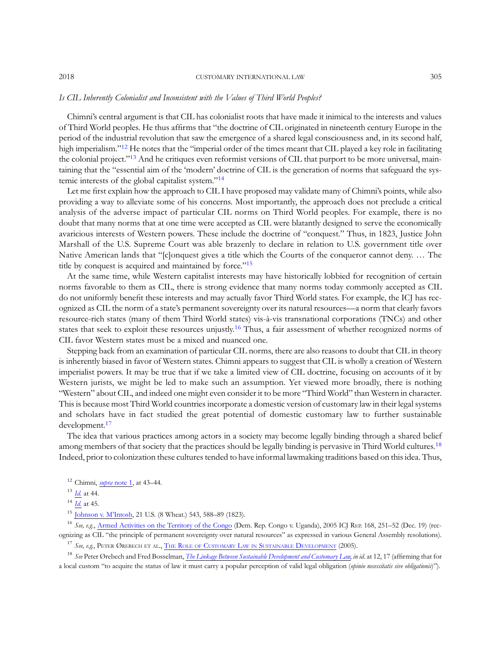#### Is CIL Inherently Colonialist and Inconsistent with the Values of Third World Peoples?

Chimni's central argument is that CIL has colonialist roots that have made it inimical to the interests and values of Third World peoples. He thus affirms that "the doctrine of CIL originated in nineteenth century Europe in the period of the industrial revolution that saw the emergence of a shared legal consciousness and, in its second half, high imperialism."<sup>12</sup> He notes that the "imperial order of the times meant that CIL played a key role in facilitating the colonial project."<sup>13</sup> And he critiques even reformist versions of CIL that purport to be more universal, maintaining that the "essential aim of the 'modern' doctrine of CIL is the generation of norms that safeguard the systemic interests of the global capitalist system."<sup>14</sup>

Let me first explain how the approach to CIL I have proposed may validate many of Chimni's points, while also providing a way to alleviate some of his concerns. Most importantly, the approach does not preclude a critical analysis of the adverse impact of particular CIL norms on Third World peoples. For example, there is no doubt that many norms that at one time were accepted as CIL were blatantly designed to serve the economically avaricious interests of Western powers. These include the doctrine of "conquest." Thus, in 1823, Justice John Marshall of the U.S. Supreme Court was able brazenly to declare in relation to U.S. government title over Native American lands that "[c]onquest gives a title which the Courts of the conqueror cannot deny. … The title by conquest is acquired and maintained by force."<sup>15</sup>

At the same time, while Western capitalist interests may have historically lobbied for recognition of certain norms favorable to them as CIL, there is strong evidence that many norms today commonly accepted as CIL do not uniformly benefit these interests and may actually favor Third World states. For example, the ICJ has recognized as CIL the norm of a state's permanent sovereignty over its natural resources—a norm that clearly favors resource-rich states (many of them Third World states) vis-à-vis transnational corporations (TNCs) and other states that seek to exploit these resources unjustly.<sup>16</sup> Thus, a fair assessment of whether recognized norms of CIL favor Western states must be a mixed and nuanced one.

Stepping back from an examination of particular CIL norms, there are also reasons to doubt that CIL in theory is inherently biased in favor of Western states. Chimni appears to suggest that CIL is wholly a creation of Western imperialist powers. It may be true that if we take a limited view of CIL doctrine, focusing on accounts of it by Western jurists, we might be led to make such an assumption. Yet viewed more broadly, there is nothing "Western" about CIL, and indeed one might even consider it to be more "Third World" than Western in character. This is because most Third World countries incorporate a domestic version of customary law in their legal systems and scholars have in fact studied the great potential of domestic customary law to further sustainable development.17

The idea that various practices among actors in a society may become legally binding through a shared belief among members of that society that the practices should be legally binding is pervasive in Third World cultures.<sup>18</sup> Indeed, prior to colonization these cultures tended to have informal lawmaking traditions based on this idea. Thus,

 $12$  Chimni, *[supra](https://doi.org/10.1017/ajil.2018.12)* [note 1,](https://doi.org/10.1017/ajil.2018.12) at 43–44.

 $13 \underline{Id}$  at 44.

 $14$  *[Id.](https://doi.org/10.1017/ajil.2018.12)* at 45.

<sup>15</sup> [Johnson v. M](https://supreme.justia.com/cases/federal/us/21/543/)'Intosh, 21 U.S. (8 Wheat.) 543, 588–89 (1823).

<sup>16</sup> See, e.g., [Armed Activities on the Territory of the Congo](https://www.icj-cij.org/en/case/116) (Dem. Rep. Congo v. Uganda), 2005 ICJ REP. 168, 251–52 (Dec. 19) (recognizing as CIL "the principle of permanent sovereignty over natural resources" as expressed in various General Assembly resolutions). <sup>17</sup> See, e.g., PETER ØREBECH ET AL., THE ROLE OF CUSTOMARY LAW IN SUSTAINABLE [DEVELOPMENT](https://www.cambridge.org/core/books/role-of-customary-law-in-sustainable-development/30FF6A3C3F5F43129AB43B1728991036) (2005).

<sup>18</sup> See Peter Ørebech and Fred Bosselman, *[The Linkage Between Sustainable Development and Customary Law](https://www.cambridge.org/core/books/role-of-customary-law-in-sustainable-development/linkage-between-sustainable-development-and-customary-law/579E4779D47BEB373FBED4D559AB88F1), in id.* at 12, 17 (affirming that for

a local custom "to acquire the status of law it must carry a popular perception of valid legal obligation (opinio necessitatis sive obligationis)").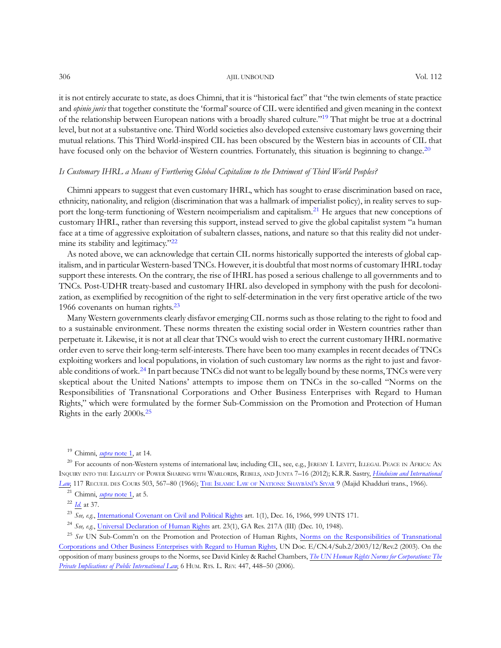306 AJIL UNBOUND Vol. 112

it is not entirely accurate to state, as does Chimni, that it is "historical fact" that "the twin elements of state practice and *opinio juris* that together constitute the 'formal' source of CIL were identified and given meaning in the context of the relationship between European nations with a broadly shared culture."<sup>19</sup> That might be true at a doctrinal level, but not at a substantive one. Third World societies also developed extensive customary laws governing their mutual relations. This Third World-inspired CIL has been obscured by the Western bias in accounts of CIL that have focused only on the behavior of Western countries. Fortunately, this situation is beginning to change.<sup>20</sup>

#### Is Customary IHRL a Means of Furthering Global Capitalism to the Detriment of Third World Peoples?

Chimni appears to suggest that even customary IHRL, which has sought to erase discrimination based on race, ethnicity, nationality, and religion (discrimination that was a hallmark of imperialist policy), in reality serves to support the long-term functioning of Western neoimperialism and capitalism.<sup>21</sup> He argues that new conceptions of customary IHRL, rather than reversing this support, instead served to give the global capitalist system "a human face at a time of aggressive exploitation of subaltern classes, nations, and nature so that this reality did not undermine its stability and legitimacy."<sup>22</sup>

As noted above, we can acknowledge that certain CIL norms historically supported the interests of global capitalism, and in particular Western-based TNCs. However, it is doubtful that most norms of customary IHRL today support these interests. On the contrary, the rise of IHRL has posed a serious challenge to all governments and to TNCs. Post-UDHR treaty-based and customary IHRL also developed in symphony with the push for decolonization, as exemplified by recognition of the right to self-determination in the very first operative article of the two 1966 covenants on human rights.23

Many Western governments clearly disfavor emerging CIL norms such as those relating to the right to food and to a sustainable environment. These norms threaten the existing social order in Western countries rather than perpetuate it. Likewise, it is not at all clear that TNCs would wish to erect the current customary IHRL normative order even to serve their long-term self-interests. There have been too many examples in recent decades of TNCs exploiting workers and local populations, in violation of such customary law norms as the right to just and favorable conditions of work.<sup>24</sup> In part because TNCs did not want to be legally bound by these norms, TNCs were very skeptical about the United Nations' attempts to impose them on TNCs in the so-called "Norms on the Responsibilities of Transnational Corporations and Other Business Enterprises with Regard to Human Rights," which were formulated by the former Sub-Commission on the Promotion and Protection of Human Rights in the early 2000s.<sup>25</sup>

<sup>&</sup>lt;sup>19</sup> Chimni, *[supra](https://doi.org/10.1017/ajil.2018.12)* [note 1,](https://doi.org/10.1017/ajil.2018.12) at 14.

<sup>&</sup>lt;sup>20</sup> For accounts of non-Western systems of international law, including CIL, see, e.g., JEREMY I. LEVITT, ILLEGAL PEACE IN AFRICA: AN INQUIRY INTO THE LEGALITY OF POWER SHARING WITH WARLORDS, REBELS, AND JUNTA 7–16 (2012); K.R.R. Sastry, [Hinduism and International](https://referenceworks.brillonline.com/entries/the-hague-academy-collected-courses/hinduism-and-international-law-volume-117-ej.9789028615427.503_640) [Law](https://referenceworks.brillonline.com/entries/the-hague-academy-collected-courses/hinduism-and-international-law-volume-117-ej.9789028615427.503_640), 117 RECUEIL DES COURS 503, 567-80 (1966); THE ISLAMIC LAW OF [NATIONS: SHAYB](https://jhupbooks.press.jhu.edu/content/islamic-law-nations)ĀNĪ'S SIYAR 9 (Majid Khadduri trans., 1966).

<sup>&</sup>lt;sup>21</sup> Chimni, *[supra](https://doi.org/10.1017/ajil.2018.12)* [note 1,](https://doi.org/10.1017/ajil.2018.12) at 5.

 $^{22}$  *[Id.](https://doi.org/10.1017/ajil.2018.12)* at 37.

<sup>&</sup>lt;sup>23</sup> See, e.g., [International Covenant on Civil and Political Rights](https://www.ohchr.org/EN/ProfessionalInterest/Pages/CCPR.aspx) art. 1(1), Dec. 16, 1966, 999 UNTS 171.

<sup>&</sup>lt;sup>24</sup> See, e.g., [Universal Declaration of Human Rights](http://www.un.org/en/universal-declaration-human-rights/index.html) art. 23(1), GA Res. 217A (III) (Dec. 10, 1948).

<sup>&</sup>lt;sup>25</sup> See UN Sub-Comm'n on the Promotion and Protection of Human Rights, [Norms on the Responsibilities of Transnational](http://hrlibrary.umn.edu/links/norms-Aug2003.html) [Corporations and Other Business Enterprises with Regard to Human Rights](http://hrlibrary.umn.edu/links/norms-Aug2003.html), UN Doc. E/CN.4/Sub.2/2003/12/Rev.2 (2003). On the opposition of many business groups to the Norms, see David Kinley & Rachel Chambers, [The UN Human Rights Norms for Corporations: The](https://academic.oup.com/hrlr/article-abstract/6/3/447/605864) [Private Implications of Public International Law](https://academic.oup.com/hrlr/article-abstract/6/3/447/605864), 6 HUM. RTS. L. REV. 447, 448-50 (2006).